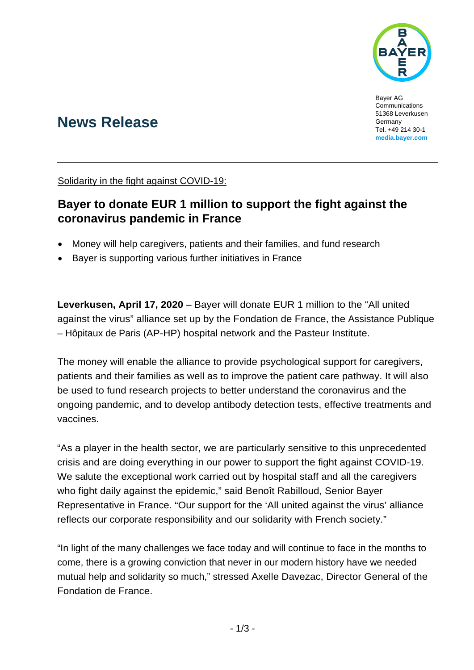

Bayer AG Communications 51368 Leverkusen Germany Tel. +49 214 30-1 **[media.bayer.com](http://media.bayer.de/)**

# **News Release**

Solidarity in the fight against COVID-19:

## **Bayer to donate EUR 1 million to support the fight against the coronavirus pandemic in France**

- Money will help caregivers, patients and their families, and fund research
- Bayer is supporting various further initiatives in France

**Leverkusen, April 17, 2020** – Bayer will donate EUR 1 million to the "All united against the virus" alliance set up by the Fondation de France, the Assistance Publique – Hôpitaux de Paris (AP-HP) hospital network and the Pasteur Institute.

The money will enable the alliance to provide psychological support for caregivers, patients and their families as well as to improve the patient care pathway. It will also be used to fund research projects to better understand the coronavirus and the ongoing pandemic, and to develop antibody detection tests, effective treatments and vaccines.

"As a player in the health sector, we are particularly sensitive to this unprecedented crisis and are doing everything in our power to support the fight against COVID-19. We salute the exceptional work carried out by hospital staff and all the caregivers who fight daily against the epidemic," said Benoît Rabilloud, Senior Bayer Representative in France. "Our support for the 'All united against the virus' alliance reflects our corporate responsibility and our solidarity with French society."

"In light of the many challenges we face today and will continue to face in the months to come, there is a growing conviction that never in our modern history have we needed mutual help and solidarity so much," stressed Axelle Davezac, Director General of the Fondation de France.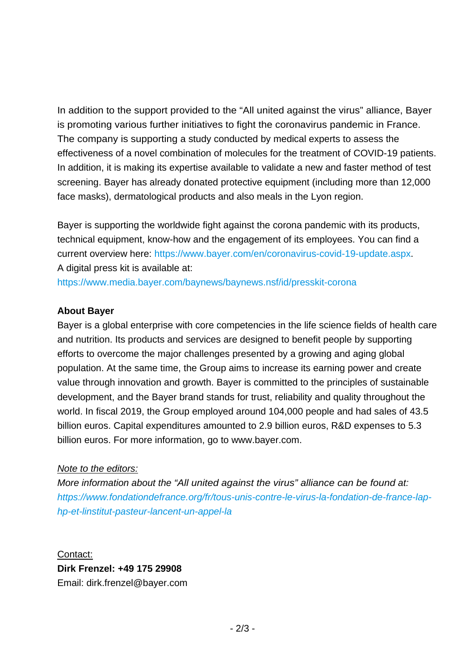In addition to the support provided to the "All united against the virus" alliance, Bayer is promoting various further initiatives to fight the coronavirus pandemic in France. The company is supporting a study conducted by medical experts to assess the effectiveness of a novel combination of molecules for the treatment of COVID-19 patients. In addition, it is making its expertise available to validate a new and faster method of test screening. Bayer has already donated protective equipment (including more than 12,000 face masks), dermatological products and also meals in the Lyon region.

Bayer is supporting the worldwide fight against the corona pandemic with its products, technical equipment, know-how and the engagement of its employees. You can find a current overview here: [https://www.bayer.com/en/coronavirus-covid-19-update.aspx.](https://www.bayer.com/en/coronavirus-covid-19-update.aspx) A digital press kit is available at:

<https://www.media.bayer.com/baynews/baynews.nsf/id/presskit-corona>

### **About Bayer**

Bayer is a global enterprise with core competencies in the life science fields of health care and nutrition. Its products and services are designed to benefit people by supporting efforts to overcome the major challenges presented by a growing and aging global population. At the same time, the Group aims to increase its earning power and create value through innovation and growth. Bayer is committed to the principles of sustainable development, and the Bayer brand stands for trust, reliability and quality throughout the world. In fiscal 2019, the Group employed around 104,000 people and had sales of 43.5 billion euros. Capital expenditures amounted to 2.9 billion euros, R&D expenses to 5.3 billion euros. For more information, go to [www.bayer.com.](http://www.bayer.com/)

#### *Note to the editors:*

*More information about the "All united against the virus" alliance can be found at: [https://www.fondationdefrance.org/fr/tous-unis-contre-le-virus-la-fondation-de-france-lap](https://www.fondationdefrance.org/fr/tous-unis-contre-le-virus-la-fondation-de-france-lap-hp-et-linstitut-pasteur-lancent-un-appel-la)[hp-et-linstitut-pasteur-lancent-un-appel-la](https://www.fondationdefrance.org/fr/tous-unis-contre-le-virus-la-fondation-de-france-lap-hp-et-linstitut-pasteur-lancent-un-appel-la)*

### Contact: **Dirk Frenzel: +49 175 29908**  Email: dirk.frenzel@bayer.com